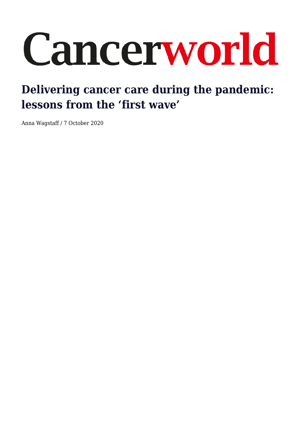# Cancerworld

# **Delivering cancer care during the pandemic: lessons from the 'first wave'**

Anna Wagstaff / 7 October 2020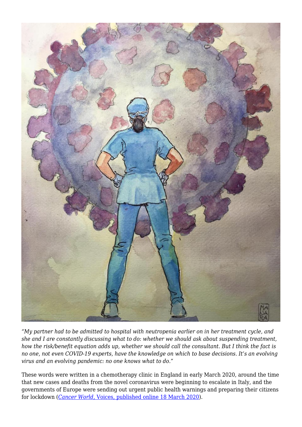

*"My partner had to be admitted to hospital with neutropenia earlier on in her treatment cycle, and she and I are constantly discussing what to do: whether we should ask about suspending treatment, how the risk/benefit equation adds up, whether we should call the consultant. But I think the fact is no one, not even COVID-19 experts, have the knowledge on which to base decisions. It's an evolving virus and an evolving pandemic: no one knows what to do."*

These words were written in a chemotherapy clinic in England in early March 2020, around the time that new cases and deaths from the novel coronavirus were beginning to escalate in Italy, and the governments of Europe were sending out urgent public health warnings and preparing their citizens for lockdown (*[Cancer World](https://cancerworld.net/voices/covid-are-cancer-patients-being-protected/)*[, Voices, published online 18 March 2020\)](https://cancerworld.net/voices/covid-are-cancer-patients-being-protected/).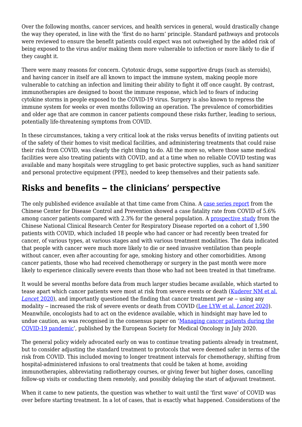Over the following months, cancer services, and health services in general, would drastically change the way they operated, in line with the 'first do no harm' principle. Standard pathways and protocols were reviewed to ensure the benefit patients could expect was not outweighed by the added risk of being exposed to the virus and/or making them more vulnerable to infection or more likely to die if they caught it.

There were many reasons for concern. Cytotoxic drugs, some supportive drugs (such as steroids), and having cancer in itself are all known to impact the immune system, making people more vulnerable to catching an infection and limiting their ability to fight it off once caught. By contrast, immunotherapies are designed to boost the immune response, which led to fears of inducing cytokine storms in people exposed to the COVID-19 virus. Surgery is also known to repress the immune system for weeks or even months following an operation. The prevalence of comorbidities and older age that are common in cancer patients compound these risks further, leading to serious, potentially life-threatening symptoms from COVID.

In these circumstances, taking a very critical look at the risks versus benefits of inviting patients out of the safety of their homes to visit medical facilities, and administering treatments that could raise their risk from COVID, was clearly the right thing to do. All the more so, where those same medical facilities were also treating patients with COVID, and at a time when no reliable COVID testing was available and many hospitals were struggling to get basic protective supplies, such as hand sanitizer and personal protective equipment (PPE), needed to keep themselves and their patients safe.

# **Risks and benefits ‒ the clinicians' perspective**

The only published evidence available at that time came from China. A [case series report](https://jamanetwork.com/journals/jama/fullarticle/2762130) from the Chinese Center for Disease Control and Prevention showed a case fatality rate from COVID of 5.6% among cancer patients compared with 2.3% for the general population. A [prospective study](https://www.thelancet.com/journals/lanonc/article/PIIS1470-2045(20)30096-6/fulltext) from the Chinese National Clinical Research Center for Respiratory Disease reported on a cohort of 1,590 patients with COVID, which included 18 people who had cancer or had recently been treated for cancer, of various types, at various stages and with various treatment modalities. The data indicated that people with cancer were much more likely to die or need invasive ventilation than people without cancer, even after accounting for age, smoking history and other comorbidities. Among cancer patients, those who had received chemotherapy or surgery in the past month were more likely to experience clinically severe events than those who had not been treated in that timeframe.

It would be several months before data from much larger studies became available, which started to tease apart which cancer patients were most at risk from severe events or death [\(Kuderer NM et al.](https://www.thelancet.com/journals/lancet/article/PIIS0140-6736(20)31187-9/fulltext) *[Lancet](https://www.thelancet.com/journals/lancet/article/PIIS0140-6736(20)31187-9/fulltext)* [2020](https://www.thelancet.com/journals/lancet/article/PIIS0140-6736(20)31187-9/fulltext)), and importantly questioned the finding that cancer treatment *per se* – using any modality ‒ increased the risk of severe events or death from COVID ([Lee LYW et al.](https://www.thelancet.com/journals/lancet/article/PIIS0140-6736(20)31173-9/fulltext) *[Lancet](https://www.thelancet.com/journals/lancet/article/PIIS0140-6736(20)31173-9/fulltext)* [2020](https://www.thelancet.com/journals/lancet/article/PIIS0140-6736(20)31173-9/fulltext)). Meanwhile, oncologists had to act on the evidence available, which in hindsight may have led to undue caution, as was recognised in the consensus paper on ['Managing cancer patients during the](https://www.esmo.org/guidelines/cancer-patient-management-during-the-covid-19-pandemic/consensus-recommendations-managing-cancer-patients-during-the-covid-19-pandemic) [COVID-19 pandemic](https://www.esmo.org/guidelines/cancer-patient-management-during-the-covid-19-pandemic/consensus-recommendations-managing-cancer-patients-during-the-covid-19-pandemic)', published by the European Society for Medical Oncology in July 2020.

The general policy widely advocated early on was to continue treating patients already in treatment, but to consider adjusting the standard treatment to protocols that were deemed safer in terms of the risk from COVID. This included moving to longer treatment intervals for chemotherapy, shifting from hospital-administered infusions to oral treatments that could be taken at home, avoiding immunotherapies, abbreviating radiotherapy courses, or giving fewer but higher doses, cancelling follow-up visits or conducting them remotely, and possibly delaying the start of adjuvant treatment.

When it came to new patients, the question was whether to wait until the 'first wave' of COVID was over before starting treatment. In a lot of cases, that is exactly what happened. Considerations of the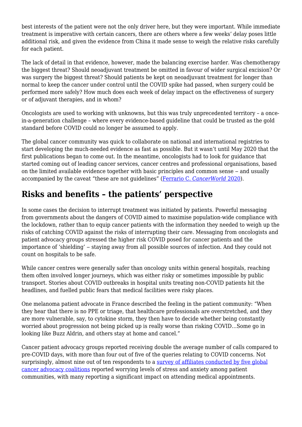best interests of the patient were not the only driver here, but they were important. While immediate treatment is imperative with certain cancers, there are others where a few weeks' delay poses little additional risk, and given the evidence from China it made sense to weigh the relative risks carefully for each patient.

The lack of detail in that evidence, however, made the balancing exercise harder. Was chemotherapy the biggest threat? Should neoadjuvant treatment be omitted in favour of wider surgical excision? Or was surgery the biggest threat? Should patients be kept on neoadjuvant treatment for longer than normal to keep the cancer under control until the COVID spike had passed, when surgery could be performed more safely? How much does each week of delay impact on the effectiveness of surgery or of adjuvant therapies, and in whom?

Oncologists are used to working with unknowns, but this was truly unprecedented territory – a oncein-a-generation challenge – where every evidence-based guideline that could be trusted as the gold standard before COVID could no longer be assumed to apply.

The global cancer community was quick to collaborate on national and international registries to start developing the much-needed evidence as fast as possible. But it wasn't until May 2020 that the first publications began to come out. In the meantime, oncologists had to look for guidance that started coming out of leading cancer services, cancer centres and professional organisations, based on the limited available evidence together with basic principles and common sense – and usually accompanied by the caveat "these are not guidelines" [\(Ferrario C.](https://cancerworld.net/spotlight-on/covid-19-pandemic-information-and-resources-to-support-the-cancer-care-community/) *[CancerWorld](https://cancerworld.net/spotlight-on/covid-19-pandemic-information-and-resources-to-support-the-cancer-care-community/)* [2020](https://cancerworld.net/spotlight-on/covid-19-pandemic-information-and-resources-to-support-the-cancer-care-community/)).

# **Risks and benefits – the patients' perspective**

In some cases the decision to interrupt treatment was initiated by patients. Powerful messaging from governments about the dangers of COVID aimed to maximise population-wide compliance with the lockdown, rather than to equip cancer patients with the information they needed to weigh up the risks of catching COVID against the risks of interrupting their care. Messaging from oncologists and patient advocacy groups stressed the higher risk COVID posed for cancer patients and the importance of 'shielding' – staying away from all possible sources of infection. And they could not count on hospitals to be safe.

While cancer centres were generally safer than oncology units within general hospitals, reaching them often involved longer journeys, which was either risky or sometimes impossible by public transport. Stories about COVID outbreaks in hospital units treating non-COVID patients hit the headlines, and fuelled public fears that medical facilities were risky places.

One melanoma patient advocate in France described the feeling in the patient community: "When they hear that there is no PPE or triage, that healthcare professionals are overstretched, and they are more vulnerable, say, to cytokine storm, they then have to decide whether being constantly worried about progression not being picked up is really worse than risking COVID…Some go in looking like Buzz Aldrin, and others stay at home and cancel."

Cancer patient advocacy groups reported receiving double the average number of calls compared to pre-COVID days, with more than four out of five of the queries relating to COVID concerns. Not surprisingly, almost nine out of ten respondents to a [survey of affiliates conducted by five global](https://worldovariancancercoalition.org/wp-content/uploads/2020/06/The-impact-of-COVID-19-on-Cancer-Patient-Organisations-12th-June-2020-FINAL.pdf) [cancer advocacy coalitions](https://worldovariancancercoalition.org/wp-content/uploads/2020/06/The-impact-of-COVID-19-on-Cancer-Patient-Organisations-12th-June-2020-FINAL.pdf) reported worrying levels of stress and anxiety among patient communities, with many reporting a significant impact on attending medical appointments.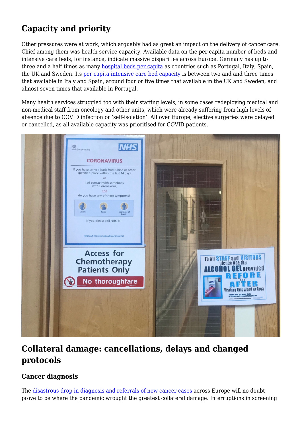# **Capacity and priority**

Other pressures were at work, which arguably had as great an impact on the delivery of cancer care. Chief among them was health service capacity. Available data on the per capita number of beds and intensive care beds, for instance, indicate massive disparities across Europe. Germany has up to three and a half times as many [hospital beds per capita](https://ec.europa.eu/eurostat/tgm/table.do?tab=table&init=1&language=en&pcode=tps00046&plugin=1) as countries such as Portugal, Italy, Spain, the UK and Sweden. Its [per capita intensive care bed capacity](https://link.springer.com/article/10.1007/s00134-012-2627-8) is between two and and three times that available in Italy and Spain, around four or five times that available in the UK and Sweden, and almost seven times that available in Portugal.

Many health services struggled too with their staffing levels, in some cases redeploying medical and non-medical staff from oncology and other units, which were already suffering from high levels of absence due to COVID infection or 'self-isolation'. All over Europe, elective surgeries were delayed or cancelled, as all available capacity was prioritised for COVID patients.



# **Collateral damage: cancellations, delays and changed protocols**

#### **Cancer diagnosis**

The [disastrous drop in diagnosis and referrals of new cancer cases](https://cancerworld.net/spotlight-on/unexpected-consequences-of-the-covid-19-pandemics-on-cancer-patients/) across Europe will no doubt prove to be where the pandemic wrought the greatest collateral damage. Interruptions in screening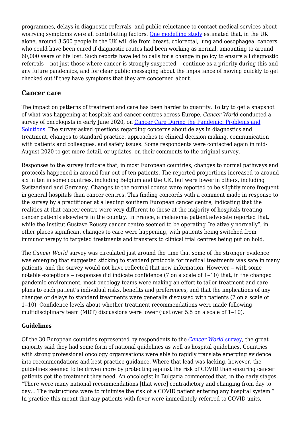programmes, delays in diagnostic referrals, and public reluctance to contact medical services about worrying symptoms were all contributing factors. [One modelling study](https://www.thelancet.com/journals/lanonc/article/PIIS1470-2045(20)30388-0/fulltext) estimated that, in the UK alone, around 3,500 people in the UK will die from breast, colorectal, lung and oesophageal cancers who could have been cured if diagnostic routes had been working as normal, amounting to around 60,000 years of life lost. Such reports have led to calls for a change in policy to ensure all diagnostic referrals – not just those where cancer is strongly suspected – continue as a priority during this and any future pandemics, and for clear public messaging about the importance of moving quickly to get checked out if they have symptoms that they are concerned about.

#### **Cancer care**

The impact on patterns of treatment and care has been harder to quantify. To try to get a snapshot of what was happening at hospitals and cancer centres across Europe, *Cancer World* conducted a survey of oncologists in early June 2020, on [Cancer Care During the Pandemic: Problems and](https://cancerworld.net/wp-content/uploads/2020/09/Cancer-World-survey-results.pdf) [Solutions](https://cancerworld.net/wp-content/uploads/2020/09/Cancer-World-survey-results.pdf). The survey asked questions regarding concerns about delays in diagnostics and treatment, changes to standard practice, approaches to clinical decision making, communication with patients and colleagues, and safety issues. Some respondents were contacted again in mid-August 2020 to get more detail, or updates, on their comments to the original survey.

Responses to the survey indicate that, in most European countries, changes to normal pathways and protocols happened in around four out of ten patients. The reported proportions increased to around six in ten in some countries, including Belgium and the UK, but were lower in others, including Switzerland and Germany. Changes to the normal course were reported to be slightly more frequent in general hospitals than cancer centres. This finding concords with a comment made in response to the survey by a practitioner at a leading southern European cancer centre, indicating that the realities at that cancer centre were very different to those at the majority of hospitals treating cancer patients elsewhere in the country. In France, a melanoma patient advocate reported that, while the Institut Gustave Roussy cancer centre seemed to be operating "relatively normally", in other places significant changes to care were happening, with patients being switched from immunotherapy to targeted treatments and transfers to clinical trial centres being put on hold.

The *Cancer World* survey was circulated just around the time that some of the stronger evidence was emerging that suggested sticking to standard protocols for medical treatments was safe in many patients, and the survey would not have reflected that new information. However – with some notable exceptions – responses did indicate confidence  $(7 \text{ on a scale of } 1-10)$  that, in the changed pandemic environment, most oncology teams were making an effort to tailor treatment and care plans to each patient's individual risks, benefits and preferences, and that the implications of any changes or delays to standard treatments were generally discussed with patients (7 on a scale of 1‒10). Confidence levels about whether treatment recommendations were made following multidisciplinary team (MDT) discussions were lower (just over  $5.5$  on a scale of  $1-10$ ).

#### **Guidelines**

Of the 30 European countries represented by respondents to the *[Cancer World](https://cancerworld.net/wp-content/uploads/2020/09/Cancer-World-survey-results.pdf)* [survey](https://cancerworld.net/wp-content/uploads/2020/09/Cancer-World-survey-results.pdf), the great majority said they had some form of national guidelines as well as hospital guidelines. Countries with strong professional oncology organisations were able to rapidly translate emerging evidence into recommendations and best-practice guidance. Where that lead was lacking, however, the guidelines seemed to be driven more by protecting against the risk of COVID than ensuring cancer patients got the treatment they need. An oncologist in Bulgaria commented that, in the early stages, "There were many national recommendations [that were] contradictory and changing from day to day… The instructions were to minimise the risk of a COVID patient entering any hospital system." In practice this meant that any patients with fever were immediately referred to COVID units,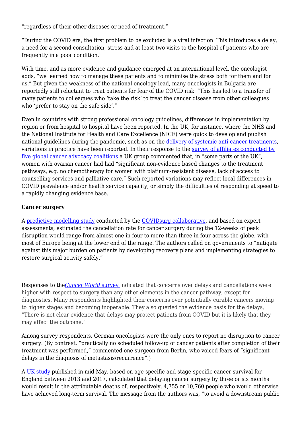"regardless of their other diseases or need of treatment."

"During the COVID era, the first problem to be excluded is a viral infection. This introduces a delay, a need for a second consultation, stress and at least two visits to the hospital of patients who are frequently in a poor condition."

With time, and as more evidence and guidance emerged at an international level, the oncologist adds, "we learned how to manage these patients and to minimise the stress both for them and for us." But given the weakness of the national oncology lead, many oncologists in Bulgaria are reportedly still reluctant to treat patients for fear of the COVID risk. "This has led to a transfer of many patients to colleagues who 'take the risk' to treat the cancer disease from other colleagues who 'prefer to stay on the safe side'."

Even in countries with strong professional oncology guidelines, differences in implementation by region or from hospital to hospital have been reported. In the UK, for instance, where the NHS and the National Institute for Health and Care Excellence (NICE) were quick to develop and publish national guidelines during the pandemic, such as on the [delivery of systemic anti-cancer treatments,](https://www.nice.org.uk/guidance/ng161/chapter/6-Prioritising-systemic-anticancer-treatments) variations in practice have been reported. In their response to the [survey of affiliates conducted by](https://worldovariancancercoalition.org/wp-content/uploads/2020/06/The-impact-of-COVID-19-on-Cancer-Patient-Organisations-12th-June-2020-FINAL.pdf) [five global cancer advocacy coalitions](https://worldovariancancercoalition.org/wp-content/uploads/2020/06/The-impact-of-COVID-19-on-Cancer-Patient-Organisations-12th-June-2020-FINAL.pdf) a UK group commented that, in "some parts of the UK", women with ovarian cancer had had "significant non-evidence based changes to the treatment pathways, e.g. no chemotherapy for women with platinum-resistant disease, lack of access to counselling services and palliative care." Such reported variations may reflect local differences in COVID prevalence and/or health service capacity, or simply the difficulties of responding at speed to a rapidly changing evidence base.

#### **Cancer surgery**

A [predictive modelling study](https://bjssjournals.onlinelibrary.wiley.com/doi/10.1002/bjs.11746) conducted by the [COVIDsurg collaborative](https://globalsurg.org/covidsurg/), and based on expert assessments, estimated the cancellation rate for cancer surgery during the 12-weeks of peak disruption would range from almost one in four to more than three in four across the globe, with most of Europe being at the lower end of the range. The authors called on governments to "mitigate against this major burden on patients by developing recovery plans and implementing strategies to restore surgical activity safely."

Responses to the*[Cancer World](https://cancerworld.net/wp-content/uploads/2020/09/Cancer-World-survey-results.pdf)* [survey i](https://cancerworld.net/wp-content/uploads/2020/09/Cancer-World-survey-results.pdf)ndicated that concerns over delays and cancellations were higher with respect to surgery than any other elements in the cancer pathway, except for diagnostics. Many respondents highlighted their concerns over potentially curable cancers moving to higher stages and becoming inoperable. They also queried the evidence basis for the delays, "There is not clear evidence that delays may protect patients from COVID but it is likely that they may affect the outcome."

Among survey respondents, German oncologists were the only ones to report no disruption to cancer surgery. (By contrast, "practically no scheduled follow-up of cancer patients after completion of their treatment was performed," commented one surgeon from Berlin, who voiced fears of "significant delays in the diagnosis of metastasis/recurrence".)

A [UK study](https://www.annalsofoncology.org/article/S0923-7534(20)39825-2/fulltext) published in mid-May, based on age-specific and stage-specific cancer survival for England between 2013 and 2017, calculated that delaying cancer surgery by three or six months would result in the attributable deaths of, respectively, 4,755 or 10,760 people who would otherwise have achieved long-term survival. The message from the authors was, "to avoid a downstream public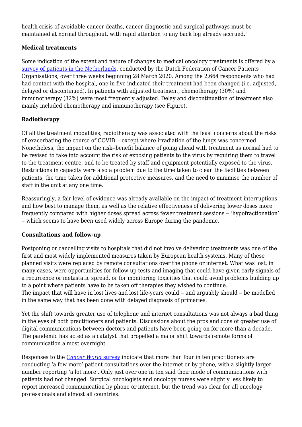health crisis of avoidable cancer deaths, cancer diagnostic and surgical pathways must be maintained at normal throughout, with rapid attention to any back log already accrued."

#### **Medical treatments**

Some indication of the extent and nature of changes to medical oncology treatments is offered by a [survey of patients in the Netherlands,](https://www.ejcancer.com/article/S0959-8049(20)30352-X/fulltext) conducted by the Dutch Federation of Cancer Patients Organisations, over three weeks beginning 28 March 2020. Among the 2,664 respondents who had had contact with the hospital, one in five indicated their treatment had been changed (i.e. adjusted, delayed or discontinued). In patients with adjusted treatment, chemotherapy (30%) and immunotherapy (32%) were most frequently adjusted. Delay and discontinuation of treatment also mainly included chemotherapy and immunotherapy (see Figure).

#### **Radiotherapy**

Of all the treatment modalities, radiotherapy was associated with the least concerns about the risks of exacerbating the course of COVID – except where irradiation of the lungs was concerned. Nonetheless, the impact on the risk–benefit balance of going ahead with treatment as normal had to be revised to take into account the risk of exposing patients to the virus by requiring them to travel to the treatment centre, and to be treated by staff and equipment potentially exposed to the virus. Restrictions in capacity were also a problem due to the time taken to clean the facilities between patients, the time taken for additional protective measures, and the need to minimise the number of staff in the unit at any one time.

Reassuringly, a fair level of evidence was already available on the impact of treatment interruptions and how best to manage them, as well as the relative effectiveness of delivering lower doses more frequently compared with higher doses spread across fewer treatment sessions – 'hypofractionation' ‒ which seems to have been used widely across Europe during the pandemic.

#### **Consultations and follow-up**

Postponing or cancelling visits to hospitals that did not involve delivering treatments was one of the first and most widely implemented measures taken by European health systems. Many of these planned visits were replaced by remote consultations over the phone or internet. What was lost, in many cases, were opportunities for follow-up tests and imaging that could have given early signals of a recurrence or metastatic spread, or for monitoring toxicities that could avoid problems building up to a point where patients have to be taken off therapies they wished to continue. The impact that will have in lost lives and lost life-years could – and arguably should – be modelled in the same way that has been done with delayed diagnosis of primaries.

Yet the shift towards greater use of telephone and internet consultations was not always a bad thing in the eyes of both practitioners and patients. Discussions about the pros and cons of greater use of digital communications between doctors and patients have been going on for more than a decade. The pandemic has acted as a catalyst that propelled a major shift towards remote forms of communication almost overnight.

Responses to the *[Cancer World](https://cancerworld.net/wp-content/uploads/2020/09/Cancer-World-survey-results.pdf)* [survey](https://cancerworld.net/wp-content/uploads/2020/09/Cancer-World-survey-results.pdf) indicate that more than four in ten practitioners are conducting 'a few more' patient consultations over the internet or by phone, with a slightly larger number reporting 'a lot more'. Only just over one in ten said their mode of communications with patients had not changed. Surgical oncologists and oncology nurses were slightly less likely to report increased communication by phone or internet, but the trend was clear for all oncology professionals and almost all countries.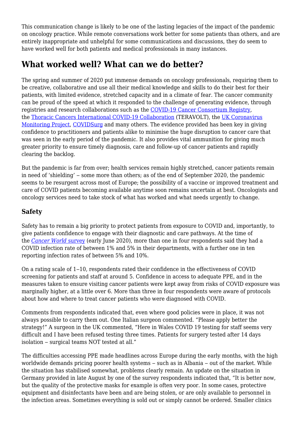This communication change is likely to be one of the lasting legacies of the impact of the pandemic on oncology practice. While remote conversations work better for some patients than others, and are entirely inappropriate and unhelpful for some communications and discussions, they do seem to have worked well for both patients and medical professionals in many instances.

# **What worked well? What can we do better?**

The spring and summer of 2020 put immense demands on oncology professionals, requiring them to be creative, collaborative and use all their medical knowledge and skills to do their best for their patients, with limited evidence, stretched capacity and in a climate of fear. The cancer community can be proud of the speed at which it responded to the challenge of generating evidence, through registries and research collaborations such as the [COVID-19 Cancer Consortium Registry,](https://clinicaltrials.gov/ct2/show/NCT04354701) the [Thoracic Cancers International COVID-19 Collaboration](https://clinicaltrials.gov/ct2/show/NCT04354701) (TERAVOLT), the [UK Coronavirus](https://www.thelancet.com/journals/lanonc/article/PIIS1470-2045(20)30230-8/fulltext) [Monitoring Project,](https://www.thelancet.com/journals/lanonc/article/PIIS1470-2045(20)30230-8/fulltext) [COVIDSurg](https://globalsurg.org/covidsurg/) and many others. The evidence provided has been key in giving confidence to practitioners and patients alike to minimise the huge disruption to cancer care that was seen in the early period of the pandemic. It also provides vital ammunition for giving much greater priority to ensure timely diagnosis, care and follow-up of cancer patients and rapidly clearing the backlog.

But the pandemic is far from over; health services remain highly stretched, cancer patients remain in need of 'shielding' – some more than others; as of the end of September 2020, the pandemic seems to be resurgent across most of Europe; the possibility of a vaccine or improved treatment and care of COVID patients becoming available anytime soon remains uncertain at best. Oncologists and oncology services need to take stock of what has worked and what needs urgently to change.

#### **Safety**

Safety has to remain a big priority to protect patients from exposure to COVID and, importantly, to give patients confidence to engage with their diagnostic and care pathways. At the time of the *[Cancer World](https://cancerworld.net/wp-content/uploads/2020/09/Cancer-World-survey-results.pdf)* [survey](https://cancerworld.net/wp-content/uploads/2020/09/Cancer-World-survey-results.pdf) (early June 2020), more than one in four respondents said they had a COVID infection rate of between 1% and 5% in their departments, with a further one in ten reporting infection rates of between 5% and 10%.

On a rating scale of  $1-10$ , respondents rated their confidence in the effectiveness of COVID screening for patients and staff at around 5. Confidence in access to adequate PPE, and in the measures taken to ensure visiting cancer patients were kept away from risks of COVID exposure was marginally higher, at a little over 6. More than three in four respondents were aware of protocols about how and where to treat cancer patients who were diagnosed with COVID.

Comments from respondents indicated that, even where good policies were in place, it was not always possible to carry them out. One Italian surgeon commented. "Please apply better the strategy!" A surgeon in the UK commented, "Here in Wales COVID 19 testing for staff seems very difficult and I have been refused testing three times. Patients for surgery tested after 14 days isolation – surgical teams NOT tested at all."

The difficulties accessing PPE made headlines across Europe during the early months, with the high worldwide demands pricing poorer health systems – such as in Albania – out of the market. While the situation has stabilised somewhat, problems clearly remain. An update on the situation in Germany provided in late August by one of the survey respondents indicated that, "It is better now, but the quality of the protective masks for example is often very poor. In some cases, protective equipment and disinfectants have been and are being stolen, or are only available to personnel in the infection areas. Sometimes everything is sold out or simply cannot be ordered. Smaller clinics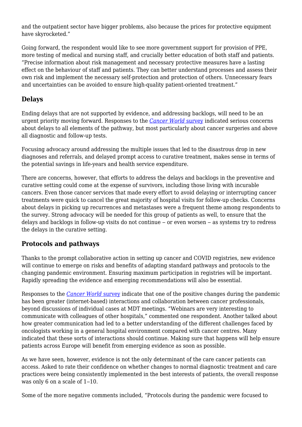and the outpatient sector have bigger problems, also because the prices for protective equipment have skyrocketed."

Going forward, the respondent would like to see more government support for provision of PPE, more testing of medical and nursing staff, and crucially better education of both staff and patients. "Precise information about risk management and necessary protective measures have a lasting effect on the behaviour of staff and patients. They can better understand processes and assess their own risk and implement the necessary self-protection and protection of others. Unnecessary fears and uncertainties can be avoided to ensure high-quality patient-oriented treatment."

#### **Delays**

Ending delays that are not supported by evidence, and addressing backlogs, will need to be an urgent priority moving forward. Responses to the *[Cancer World](https://cancerworld.net/wp-content/uploads/2020/09/Cancer-World-survey-results.pdf)* [survey](https://cancerworld.net/wp-content/uploads/2020/09/Cancer-World-survey-results.pdf) indicated serious concerns about delays to all elements of the pathway, but most particularly about cancer surgeries and above all diagnostic and follow-up tests.

Focusing advocacy around addressing the multiple issues that led to the disastrous drop in new diagnoses and referrals, and delayed prompt access to curative treatment, makes sense in terms of the potential savings in life-years and health service expenditure.

There are concerns, however, that efforts to address the delays and backlogs in the preventive and curative setting could come at the expense of survivors, including those living with incurable cancers. Even those cancer services that made every effort to avoid delaying or interrupting cancer treatments were quick to cancel the great majority of hospital visits for follow-up checks. Concerns about delays in picking up recurrences and metastases were a frequent theme among respondents to the survey. Strong advocacy will be needed for this group of patients as well, to ensure that the delays and backlogs in follow-up visits do not continue – or even worsen – as systems try to redress the delays in the curative setting.

#### **Protocols and pathways**

Thanks to the prompt collaborative action in setting up cancer and COVID registries, new evidence will continue to emerge on risks and benefits of adapting standard pathways and protocols to the changing pandemic environment. Ensuring maximum participation in registries will be important. Rapidly spreading the evidence and emerging recommendations will also be essential.

Responses to the *[Cancer World](https://cancerworld.net/wp-content/uploads/2020/09/Cancer-World-survey-results.pdf)* [survey](https://cancerworld.net/wp-content/uploads/2020/09/Cancer-World-survey-results.pdf) indicate that one of the positive changes during the pandemic has been greater (internet-based) interactions and collaboration between cancer professionals, beyond discussions of individual cases at MDT meetings. "Webinars are very interesting to communicate with colleagues of other hospitals," commented one respondent. Another talked about how greater communication had led to a better understanding of the different challenges faced by oncologists working in a general hospital environment compared with cancer centres. Many indicated that these sorts of interactions should continue. Making sure that happens will help ensure patients across Europe will benefit from emerging evidence as soon as possible.

As we have seen, however, evidence is not the only determinant of the care cancer patients can access. Asked to rate their confidence on whether changes to normal diagnostic treatment and care practices were being consistently implemented in the best interests of patients, the overall response was only  $6$  on a scale of  $1-10$ .

Some of the more negative comments included, "Protocols during the pandemic were focused to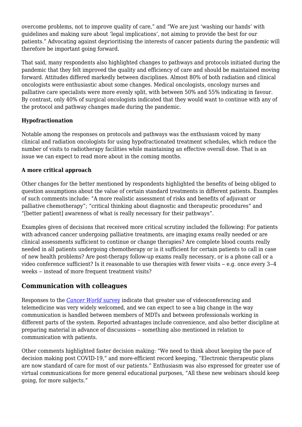overcome problems, not to improve quality of care," and "We are just 'washing our hands' with guidelines and making sure about 'legal implications', not aiming to provide the best for our patients." Advocating against deprioritising the interests of cancer patients during the pandemic will therefore be important going forward.

That said, many respondents also highlighted changes to pathways and protocols initiated during the pandemic that they felt improved the quality and efficiency of care and should be maintained moving forward. Attitudes differed markedly between disciplines. Almost 80% of both radiation and clinical oncologists were enthusiastic about some changes. Medical oncologists, oncology nurses and palliative care specialists were more evenly split, with between 50% and 55% indicating in favour. By contrast, only 40% of surgical oncologists indicated that they would want to continue with any of the protocol and pathway changes made during the pandemic.

#### **Hypofractionation**

Notable among the responses on protocols and pathways was the enthusiasm voiced by many clinical and radiation oncologists for using hypofractionated treatment schedules, which reduce the number of visits to radiotherapy facilities while maintaining an effective overall dose. That is an issue we can expect to read more about in the coming months.

#### **A more critical approach**

Other changes for the better mentioned by respondents highlighted the benefits of being obliged to question assumptions about the value of certain standard treatments in different patients. Examples of such comments include: "A more realistic assessment of risks and benefits of adjuvant or palliative chemotherapy"; "critical thinking about diagnostic and therapeutic procedures" and "[better patient] awareness of what is really necessary for their pathways".

Examples given of decisions that received more critical scrutiny included the following: For patients with advanced cancer undergoing palliative treatments, are imaging exams really needed or are clinical assessments sufficient to continue or change therapies? Are complete blood counts really needed in all patients undergoing chemotherapy or is it sufficient for certain patients to call in case of new health problems? Are post-therapy follow-up exams really necessary, or is a phone call or a video conference sufficient? Is it reasonable to use therapies with fewer visits  $-$  e.g. once every  $3-4$ weeks – instead of more frequent treatment visits?

#### **Communication with colleagues**

Responses to the *[Cancer World](https://cancerworld.net/wp-content/uploads/2020/09/Cancer-World-survey-results.pdf)* [survey](https://cancerworld.net/wp-content/uploads/2020/09/Cancer-World-survey-results.pdf) indicate that greater use of videoconferencing and telemedicine was very widely welcomed, and we can expect to see a big change in the way communication is handled between members of MDTs and between professionals working in different parts of the system. Reported advantages include convenience, and also better discipline at preparing material in advance of discussions – something also mentioned in relation to communication with patients.

Other comments highlighted faster decision making: "We need to think about keeping the pace of decision making post COVID-19," and more-efficient record keeping, "Electronic therapeutic plans are now standard of care for most of our patients." Enthusiasm was also expressed for greater use of virtual communications for more general educational purposes, "All these new webinars should keep going, for more subjects."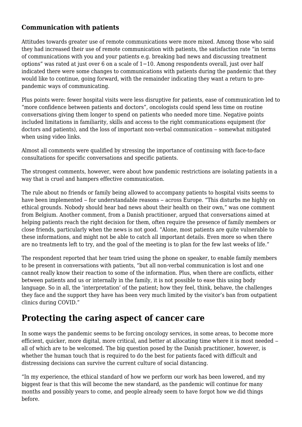#### **Communication with patients**

Attitudes towards greater use of remote communications were more mixed. Among those who said they had increased their use of remote communication with patients, the satisfaction rate "in terms of communications with you and your patients e.g. breaking bad news and discussing treatment options" was rated at just over 6 on a scale of 1−10. Among respondents overall, just over half indicated there were some changes to communications with patients during the pandemic that they would like to continue, going forward, with the remainder indicating they want a return to prepandemic ways of communicating.

Plus points were: fewer hospital visits were less disruptive for patients, ease of communication led to "more confidence between patients and doctors", oncologists could spend less time on routine conversations giving them longer to spend on patients who needed more time. Negative points included limitations in familiarity, skills and access to the right communications equipment (for doctors and patients), and the loss of important non-verbal communication – somewhat mitigated when using video links.

Almost all comments were qualified by stressing the importance of continuing with face-to-face consultations for specific conversations and specific patients.

The strongest comments, however, were about how pandemic restrictions are isolating patients in a way that is cruel and hampers effective communication.

The rule about no friends or family being allowed to accompany patients to hospital visits seems to have been implemented – for understandable reasons – across Europe. "This disturbs me highly on ethical grounds. Nobody should hear bad news about their health on their own," was one comment from Belgium. Another comment, from a Danish practitioner, argued that conversations aimed at helping patients reach the right decision for them, often require the presence of family members or close friends, particularly when the news is not good. "Alone, most patients are quite vulnerable to these informations, and might not be able to catch all important details. Even more so when there are no treatments left to try, and the goal of the meeting is to plan for the few last weeks of life."

The respondent reported that her team tried using the phone on speaker, to enable family members to be present in conversations with patients, "but all non-verbal communication is lost and one cannot really know their reaction to some of the information. Plus, when there are conflicts, either between patients and us or internally in the family, it is not possible to ease this using body language. So in all, the 'interpretation' of the patient; how they feel, think, behave, the challenges they face and the support they have has been very much limited by the visitor's ban from outpatient clinics during COVID."

### **Protecting the caring aspect of cancer care**

In some ways the pandemic seems to be forcing oncology services, in some areas, to become more efficient, quicker, more digital, more critical, and better at allocating time where it is most needed – all of which are to be welcomed. The big question posed by the Danish practitioner, however, is whether the human touch that is required to do the best for patients faced with difficult and distressing decisions can survive the current culture of social distancing.

"In my experience, the ethical standard of how we perform our work has been lowered, and my biggest fear is that this will become the new standard, as the pandemic will continue for many months and possibly years to come, and people already seem to have forgot how we did things before.